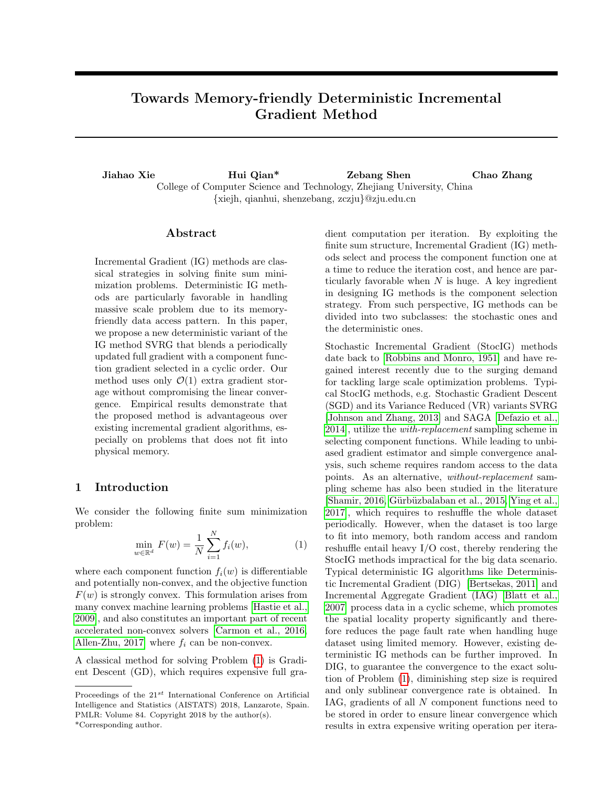# <span id="page-0-0"></span>Towards Memory-friendly Deterministic Incremental Gradient Method

Jiahao Xie Hui Qian\* Zebang Shen Chao Zhang College of Computer Science and Technology, Zhejiang University, China {xiejh, qianhui, shenzebang, zczju}@zju.edu.cn

#### Abstract

Incremental Gradient (IG) methods are classical strategies in solving finite sum minimization problems. Deterministic IG methods are particularly favorable in handling massive scale problem due to its memoryfriendly data access pattern. In this paper, we propose a new deterministic variant of the IG method SVRG that blends a periodically updated full gradient with a component function gradient selected in a cyclic order. Our method uses only  $\mathcal{O}(1)$  extra gradient storage without compromising the linear convergence. Empirical results demonstrate that the proposed method is advantageous over existing incremental gradient algorithms, especially on problems that does not fit into physical memory.

### 1 Introduction

We consider the following finite sum minimization problem:

$$
\min_{w \in \mathbb{R}^d} F(w) = \frac{1}{N} \sum_{i=1}^N f_i(w),
$$
\n(1)

where each component function  $f_i(w)$  is differentiable and potentially non-convex, and the objective function  $F(w)$  is strongly convex. This formulation arises from many convex machine learning problems [\[Hastie et al.,](#page-8-0) [2009\]](#page-8-0), and also constitutes an important part of recent accelerated non-convex solvers [\[Carmon et al., 2016,](#page-8-0) [Allen-Zhu, 2017\]](#page-8-0) where  $f_i$  can be non-convex.

A classical method for solving Problem (1) is Gradient Descent (GD), which requires expensive full gra-

dient computation per iteration. By exploiting the finite sum structure, Incremental Gradient (IG) methods select and process the component function one at a time to reduce the iteration cost, and hence are particularly favorable when  $N$  is huge. A key ingredient in designing IG methods is the component selection strategy. From such perspective, IG methods can be divided into two subclasses: the stochastic ones and the deterministic ones.

Stochastic Incremental Gradient (StocIG) methods date back to [\[Robbins and Monro, 1951\]](#page-8-0) and have regained interest recently due to the surging demand for tackling large scale optimization problems. Typical StocIG methods, e.g. Stochastic Gradient Descent (SGD) and its Variance Reduced (VR) variants SVRG [\[Johnson and Zhang, 2013\]](#page-8-0) and SAGA [\[Defazio et al.,](#page-8-0) [2014\]](#page-8-0), utilize the with-replacement sampling scheme in selecting component functions. While leading to unbiased gradient estimator and simple convergence analysis, such scheme requires random access to the data points. As an alternative, without-replacement sampling scheme has also been studied in the literature [Shamir, 2016, Gürbüzbalaban et al., 2015, [Ying et al.,](#page-9-0) [2017\]](#page-9-0), which requires to reshuffle the whole dataset periodically. However, when the dataset is too large to fit into memory, both random access and random reshuffle entail heavy I/O cost, thereby rendering the StocIG methods impractical for the big data scenario. Typical deterministic IG algorithms like Deterministic Incremental Gradient (DIG) [\[Bertsekas, 2011\]](#page-8-0) and Incremental Aggregate Gradient (IAG) [\[Blatt et al.,](#page-8-0) [2007\]](#page-8-0) process data in a cyclic scheme, which promotes the spatial locality property significantly and therefore reduces the page fault rate when handling huge dataset using limited memory. However, existing deterministic IG methods can be further improved. In DIG, to guarantee the convergence to the exact solution of Problem (1), diminishing step size is required and only sublinear convergence rate is obtained. In IAG, gradients of all N component functions need to be stored in order to ensure linear convergence which results in extra expensive writing operation per itera-

Proceedings of the  $21^{st}$  International Conference on Artificial Intelligence and Statistics (AISTATS) 2018, Lanzarote, Spain. PMLR: Volume 84. Copyright 2018 by the author(s).

<sup>\*</sup>Corresponding author.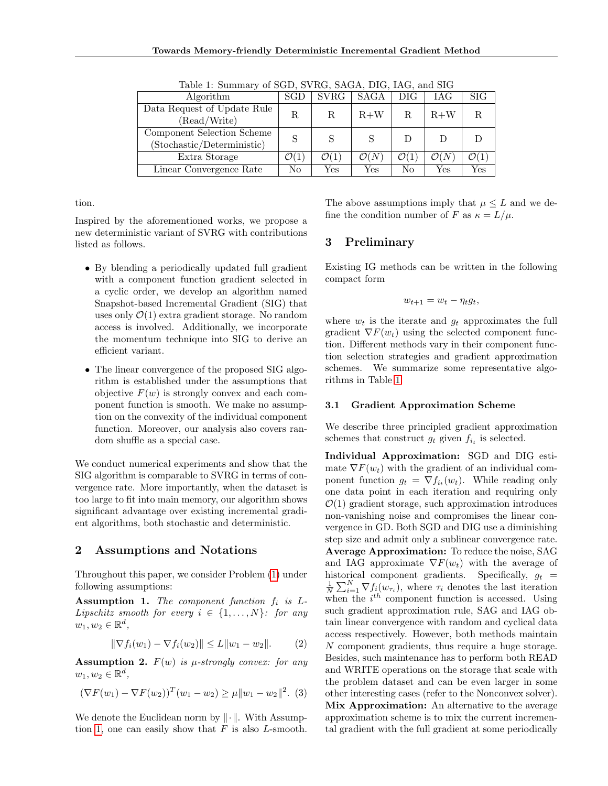<span id="page-1-0"></span>

| Table 1. Bullillary of BOD, BYTEG, BHOIT, DTG, ITTG, and BTG |                  |                  |                      |                  |                  |              |  |  |
|--------------------------------------------------------------|------------------|------------------|----------------------|------------------|------------------|--------------|--|--|
| Algorithm                                                    | SGD              | $\mathrm{SVRG}$  | SAGA                 | $_{\rm DIG}$     | IAG              | $_{\rm SIG}$ |  |  |
| Data Request of Update Rule<br>(Read/Write)                  | R.               | R                | $R+W$                | R                | $R+W$            | R            |  |  |
| Component Selection Scheme<br>(Stochastic/Deterministic)     | S                |                  |                      | Ð                |                  |              |  |  |
| Extra Storage                                                | $\mathcal{O}(1)$ | $\mathcal{O}(1)$ | $\mathcal{O}(N)$     | $\mathcal{O}(1)$ | $\mathcal{O}(N)$ |              |  |  |
| Linear Convergence Rate                                      | No               | Yes              | $\operatorname{Yes}$ | No               | Yes              | Yes          |  |  |

Table 1: Summary of SGD, SVRG, SAGA, DIG, IAG, and SIG

tion.

Inspired by the aforementioned works, we propose a new deterministic variant of SVRG with contributions listed as follows.

- By blending a periodically updated full gradient with a component function gradient selected in a cyclic order, we develop an algorithm named Snapshot-based Incremental Gradient (SIG) that uses only  $\mathcal{O}(1)$  extra gradient storage. No random access is involved. Additionally, we incorporate the momentum technique into SIG to derive an efficient variant.
- The linear convergence of the proposed SIG algorithm is established under the assumptions that objective  $F(w)$  is strongly convex and each component function is smooth. We make no assumption on the convexity of the individual component function. Moreover, our analysis also covers random shuffle as a special case.

We conduct numerical experiments and show that the SIG algorithm is comparable to SVRG in terms of convergence rate. More importantly, when the dataset is too large to fit into main memory, our algorithm shows significant advantage over existing incremental gradient algorithms, both stochastic and deterministic.

# 2 Assumptions and Notations

Throughout this paper, we consider Problem [\(1\)](#page-0-0) under following assumptions:

Assumption 1. The component function  $f_i$  is  $L$ -Lipschitz smooth for every  $i \in \{1, ..., N\}$ : for any  $w_1, w_2 \in \mathbb{R}^d$ ,

$$
\|\nabla f_i(w_1) - \nabla f_i(w_2)\| \le L\|w_1 - w_2\|.\tag{2}
$$

**Assumption 2.**  $F(w)$  is  $\mu$ -strongly convex: for any  $w_1, w_2 \in \mathbb{R}^d$ ,

$$
(\nabla F(w_1) - \nabla F(w_2))^T (w_1 - w_2) \ge \mu \|w_1 - w_2\|^2. (3)
$$

We denote the Euclidean norm by  $\|\cdot\|$ . With Assumption 1, one can easily show that  $F$  is also  $L$ -smooth. The above assumptions imply that  $\mu \leq L$  and we define the condition number of F as  $\kappa = L/\mu$ .

# 3 Preliminary

Existing IG methods can be written in the following compact form

$$
w_{t+1} = w_t - \eta_t g_t,
$$

where  $w_t$  is the iterate and  $g_t$  approximates the full gradient  $\nabla F(w_t)$  using the selected component function. Different methods vary in their component function selection strategies and gradient approximation schemes. We summarize some representative algorithms in Table 1.

#### 3.1 Gradient Approximation Scheme

We describe three principled gradient approximation schemes that construct  $g_t$  given  $f_{i_t}$  is selected.

Individual Approximation: SGD and DIG estimate  $\nabla F(w_t)$  with the gradient of an individual component function  $g_t = \nabla f_{i_t}(w_t)$ . While reading only one data point in each iteration and requiring only  $\mathcal{O}(1)$  gradient storage, such approximation introduces non-vanishing noise and compromises the linear convergence in GD. Both SGD and DIG use a diminishing step size and admit only a sublinear convergence rate. Average Approximation: To reduce the noise, SAG and IAG approximate  $\nabla F(w_t)$  with the average of historical component gradients. Specifically,  $g_t =$  $\frac{1}{N} \sum_{i=1}^{N} \nabla f_i(w_{\tau_i})$ , where  $\tau_i$  denotes the last iteration when the  $i^{th}$  component function is accessed. Using such gradient approximation rule, SAG and IAG obtain linear convergence with random and cyclical data access respectively. However, both methods maintain N component gradients, thus require a huge storage. Besides, such maintenance has to perform both READ and WRITE operations on the storage that scale with the problem dataset and can be even larger in some other interesting cases (refer to the Nonconvex solver). Mix Approximation: An alternative to the average approximation scheme is to mix the current incremental gradient with the full gradient at some periodically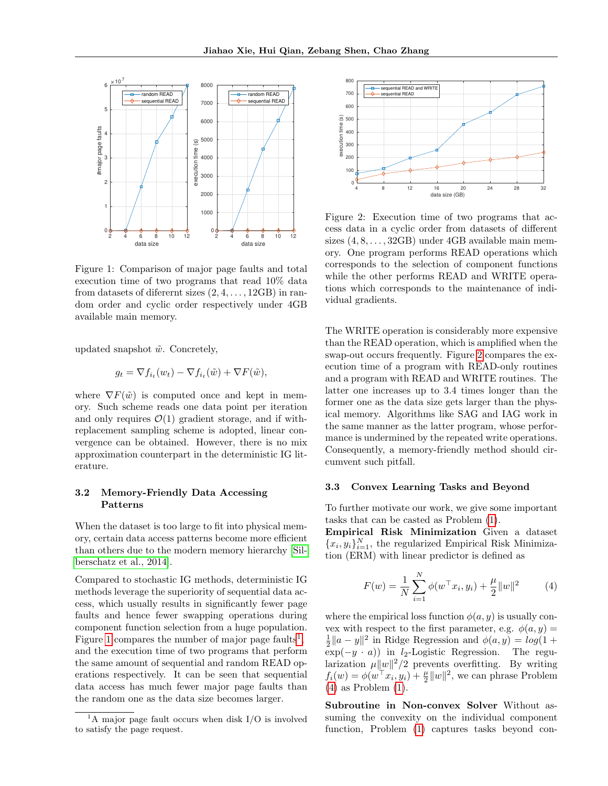

Figure 1: Comparison of major page faults and total execution time of two programs that read 10% data from datasets of diferent sizes  $(2, 4, \ldots, 12GB)$  in random order and cyclic order respectively under 4GB available main memory.

updated snapshot  $\tilde{w}$ . Concretely,

$$
g_t = \nabla f_{i_t}(w_t) - \nabla f_{i_t}(\tilde{w}) + \nabla F(\tilde{w}),
$$

where  $\nabla F(\tilde{w})$  is computed once and kept in memory. Such scheme reads one data point per iteration and only requires  $\mathcal{O}(1)$  gradient storage, and if withreplacement sampling scheme is adopted, linear convergence can be obtained. However, there is no mix approximation counterpart in the deterministic IG literature.

### 3.2 Memory-Friendly Data Accessing Patterns

When the dataset is too large to fit into physical memory, certain data access patterns become more efficient than others due to the modern memory hierarchy [\[Sil](#page-8-0)[berschatz et al., 2014\]](#page-8-0).

Compared to stochastic IG methods, deterministic IG methods leverage the superiority of sequential data access, which usually results in significantly fewer page faults and hence fewer swapping operations during component function selection from a huge population. Figure 1 compares the number of major page faults<sup>1</sup>, and the execution time of two programs that perform the same amount of sequential and random READ operations respectively. It can be seen that sequential data access has much fewer major page faults than the random one as the data size becomes larger.



Figure 2: Execution time of two programs that access data in a cyclic order from datasets of different sizes  $(4, 8, \ldots, 32GB)$  under  $4GB$  available main memory. One program performs READ operations which corresponds to the selection of component functions while the other performs READ and WRITE operations which corresponds to the maintenance of individual gradients.

The WRITE operation is considerably more expensive than the READ operation, which is amplified when the swap-out occurs frequently. Figure 2 compares the execution time of a program with READ-only routines and a program with READ and WRITE routines. The latter one increases up to 3.4 times longer than the former one as the data size gets larger than the physical memory. Algorithms like SAG and IAG work in the same manner as the latter program, whose performance is undermined by the repeated write operations. Consequently, a memory-friendly method should circumvent such pitfall.

#### 3.3 Convex Learning Tasks and Beyond

To further motivate our work, we give some important tasks that can be casted as Problem [\(1\)](#page-0-0).

Empirical Risk Minimization Given a dataset  ${x_i, y_i}_{i=1}^N$ , the regularized Empirical Risk Minimization (ERM) with linear predictor is defined as

$$
F(w) = \frac{1}{N} \sum_{i=1}^{N} \phi(w^{\top} x_i, y_i) + \frac{\mu}{2} ||w||^2
$$
 (4)

where the empirical loss function  $\phi(a, y)$  is usually convex with respect to the first parameter, e.g.  $\phi(a, y) =$  $\frac{1}{2}||a - y||^2$  in Ridge Regression and  $\phi(a, y) = log(1 +$  $\exp(-y \cdot a)$  in *l*<sub>2</sub>-Logistic Regression. The regularization  $\mu \|w\|^2/2$  prevents overfitting. By writing  $f_i(w) = \phi(w^\top x_i, y_i) + \frac{\mu}{2} ||w||^2$ , we can phrase Problem (4) as Problem [\(1\)](#page-0-0).

Subroutine in Non-convex Solver Without assuming the convexity on the individual component function, Problem [\(1\)](#page-0-0) captures tasks beyond con-

 $1A$  major page fault occurs when disk I/O is involved to satisfy the page request.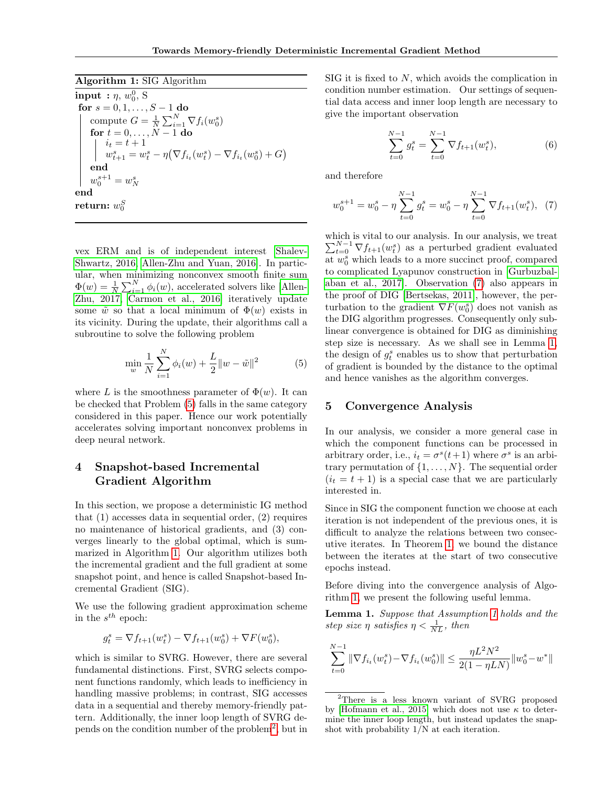<span id="page-3-0"></span>Algorithm 1: SIG Algorithm

 $\textbf{input} \; : \eta, \, w_0^0, \, \text{S}$ for  $s = 0, 1, \ldots, S - 1$  do compute  $G = \frac{1}{N} \sum_{i=1}^{N} \nabla f_i(w_0^s)$ for  $t = 0, \ldots, N - 1$  do  $i_t = t + 1$  $w_{t+1}^s = w_t^s - \eta (\nabla f_{i_t}(w_t^s) - \nabla f_{i_t}(w_0^s) + G)$ end  $w_0^{s+1} = w_N^s$ end  ${\bf return:}~w^S_0$ 

vex ERM and is of independent interest [\[Shalev-](#page-8-0)[Shwartz, 2016, Allen-Zhu and Yuan, 2016\]](#page-8-0). In particular, when minimizing nonconvex smooth finite sum  $\Phi(w) = \frac{1}{N} \sum_{i=1}^{N} \phi_i(w)$ , accelerated solvers like [\[Allen-](#page-8-0)[Zhu, 2017, Carmon et al., 2016\]](#page-8-0) iteratively update some  $\tilde{w}$  so that a local minimum of  $\Phi(w)$  exists in its vicinity. During the update, their algorithms call a subroutine to solve the following problem

$$
\min_{w} \frac{1}{N} \sum_{i=1}^{N} \phi_i(w) + \frac{L}{2} ||w - \tilde{w}||^2
$$
 (5)

where L is the smoothness parameter of  $\Phi(w)$ . It can be checked that Problem (5) falls in the same category considered in this paper. Hence our work potentially accelerates solving important nonconvex problems in deep neural network.

# 4 Snapshot-based Incremental Gradient Algorithm

In this section, we propose a deterministic IG method that (1) accesses data in sequential order, (2) requires no maintenance of historical gradients, and (3) converges linearly to the global optimal, which is summarized in Algorithm 1. Our algorithm utilizes both the incremental gradient and the full gradient at some snapshot point, and hence is called Snapshot-based Incremental Gradient (SIG).

We use the following gradient approximation scheme in the  $s^{th}$  epoch:

$$
g_t^s = \nabla f_{t+1}(w_t^s) - \nabla f_{t+1}(w_0^s) + \nabla F(w_0^s),
$$

which is similar to SVRG. However, there are several fundamental distinctions. First, SVRG selects component functions randomly, which leads to inefficiency in handling massive problems; in contrast, SIG accesses data in a sequential and thereby memory-friendly pattern. Additionally, the inner loop length of SVRG depends on the condition number of the problem<sup>2</sup> , but in

SIG it is fixed to N, which avoids the complication in condition number estimation. Our settings of sequential data access and inner loop length are necessary to give the important observation

$$
\sum_{t=0}^{N-1} g_t^s = \sum_{t=0}^{N-1} \nabla f_{t+1}(w_t^s), \tag{6}
$$

and therefore

$$
w_0^{s+1} = w_0^s - \eta \sum_{t=0}^{N-1} g_t^s = w_0^s - \eta \sum_{t=0}^{N-1} \nabla f_{t+1}(w_t^s), \tag{7}
$$

which is vital to our analysis. In our analysis, we treat  $\sum_{t=0}^{N-1} \nabla f_{t+1}(w_t^s)$  as a perturbed gradient evaluated at  $w_0^s$  which leads to a more succinct proof, compared to complicated Lyapunov construction in [\[Gurbuzbal](#page-8-0)[aban et al., 2017\]](#page-8-0). Observation (7) also appears in the proof of DIG [\[Bertsekas, 2011\]](#page-8-0), however, the perturbation to the gradient  $\nabla F(w_0^s)$  does not vanish as the DIG algorithm progresses. Consequently only sublinear convergence is obtained for DIG as diminishing step size is necessary. As we shall see in Lemma 1, the design of  $g_t^s$  enables us to show that perturbation of gradient is bounded by the distance to the optimal and hence vanishes as the algorithm converges.

### 5 Convergence Analysis

In our analysis, we consider a more general case in which the component functions can be processed in arbitrary order, i.e.,  $i_t = \sigma^s(t+1)$  where  $\sigma^s$  is an arbitrary permutation of  $\{1, \ldots, N\}$ . The sequential order  $(i<sub>t</sub> = t + 1)$  is a special case that we are particularly interested in.

Since in SIG the component function we choose at each iteration is not independent of the previous ones, it is difficult to analyze the relations between two consecutive iterates. In Theorem [1,](#page-4-0) we bound the distance between the iterates at the start of two consecutive epochs instead.

Before diving into the convergence analysis of Algorithm 1, we present the following useful lemma.

Lemma 1. Suppose that Assumption [1](#page-1-0) holds and the step size  $\eta$  satisfies  $\eta < \frac{1}{NL}$ , then

$$
\sum_{t=0}^{N-1} \|\nabla f_{i_t}(w_t^s) - \nabla f_{i_t}(w_0^s)\| \le \frac{\eta L^2 N^2}{2(1 - \eta L N)} \|w_0^s - w^*\|
$$

<sup>&</sup>lt;sup>2</sup>There is a less known variant of SVRG proposed by [\[Hofmann et al., 2015\]](#page-8-0) which does not use  $\kappa$  to determine the inner loop length, but instead updates the snapshot with probability 1/N at each iteration.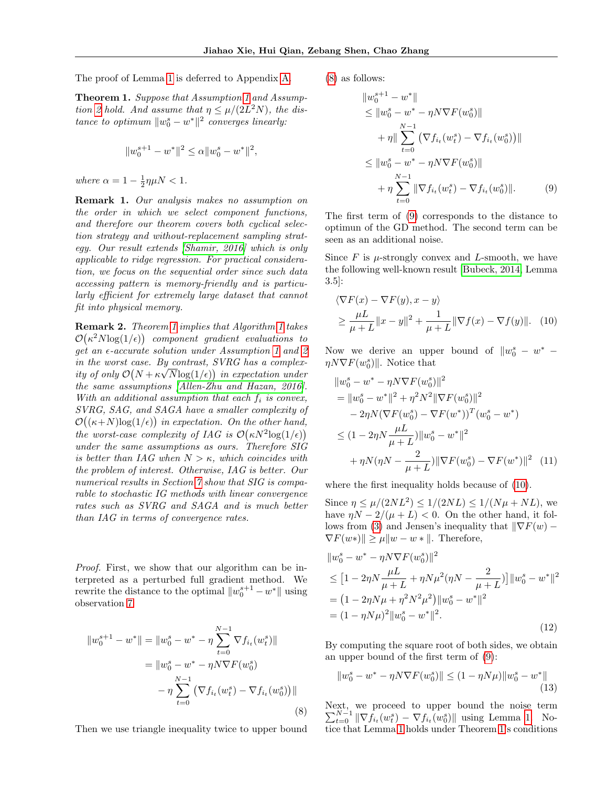<span id="page-4-0"></span>The proof of Lemma [1](#page-3-0) is deferred to Appendix A.

Theorem 1. Suppose that Assumption [1](#page-1-0) and Assump-tion [2](#page-1-0) hold. And assume that  $\eta \leq \mu/(2L^2N)$ , the distance to optimum  $||w_0^s - w^*||^2$  converges linearly:

$$
||w_0^{s+1} - w^*||^2 \le \alpha ||w_0^s - w^*||^2,
$$

where  $\alpha = 1 - \frac{1}{2}\eta\mu N < 1$ .

Remark 1. Our analysis makes no assumption on the order in which we select component functions, and therefore our theorem covers both cyclical selection strategy and without-replacement sampling strategy. Our result extends [\[Shamir, 2016\]](#page-8-0) which is only applicable to ridge regression. For practical consideration, we focus on the sequential order since such data accessing pattern is memory-friendly and is particularly efficient for extremely large dataset that cannot fit into physical memory.

Remark 2. Theorem 1 implies that Algorithm [1](#page-3-0) takes  $\mathcal{O}(\kappa^2 N \log(1/\epsilon))$  component gradient evaluations to get an  $\epsilon$ -accurate solution under Assumption [1](#page-1-0) and [2](#page-1-0) in the worst case. By contrast, SVRG has a complexity of only  $\mathcal{O}(N + \kappa \sqrt{N} \log(1/\epsilon))$  in expectation under the same assumptions [\[Allen-Zhu and Hazan, 2016\]](#page-8-0). With an additional assumption that each  $f_i$  is convex, SVRG, SAG, and SAGA have a smaller complexity of  $\mathcal{O}((\kappa+N)\text{log}(1/\epsilon))$  in expectation. On the other hand, the worst-case complexity of IAG is  $\mathcal{O}(\kappa N^2 \log(1/\epsilon))$ under the same assumptions as ours. Therefore SIG is better than IAG when  $N > \kappa$ , which coincides with the problem of interest. Otherwise, IAG is better. Our numerical results in Section  $\gamma$  show that SIG is comparable to stochastic IG methods with linear convergence rates such as SVRG and SAGA and is much better than IAG in terms of convergence rates.

Proof. First, we show that our algorithm can be interpreted as a perturbed full gradient method. We rewrite the distance to the optimal  $||w_0^{s+1} - w^*||$  using observation [7](#page-3-0)

$$
||w_0^{s+1} - w^*|| = ||w_0^s - w^* - \eta \sum_{t=0}^{N-1} \nabla f_{i_t}(w_t^s)||
$$
  

$$
= ||w_0^s - w^* - \eta N \nabla F(w_0^s)
$$
  

$$
- \eta \sum_{t=0}^{N-1} (\nabla f_{i_t}(w_t^s) - \nabla f_{i_t}(w_0^s))||
$$
 (8)

Then we use triangle inequality twice to upper bound

(8) as follows:

$$
||w_0^{s+1} - w^*||
$$
  
\n
$$
\leq ||w_0^s - w^* - \eta N \nabla F(w_0^s)||
$$
  
\n
$$
+ \eta || \sum_{t=0}^{N-1} (\nabla f_{i_t}(w_t^s) - \nabla f_{i_t}(w_0^s))||
$$
  
\n
$$
\leq ||w_0^s - w^* - \eta N \nabla F(w_0^s)||
$$
  
\n
$$
+ \eta \sum_{t=0}^{N-1} ||\nabla f_{i_t}(w_t^s) - \nabla f_{i_t}(w_0^s)||. \qquad (9)
$$

The first term of (9) corresponds to the distance to optimun of the GD method. The second term can be seen as an additional noise.

Since  $F$  is  $\mu$ -strongly convex and *L*-smooth, we have the following well-known result [\[Bubeck, 2014,](#page-8-0) Lemma 3.5]:

$$
\langle \nabla F(x) - \nabla F(y), x - y \rangle
$$
  
\n
$$
\geq \frac{\mu L}{\mu + L} ||x - y||^2 + \frac{1}{\mu + L} ||\nabla f(x) - \nabla f(y)||. (10)
$$

Now we derive an upper bound of  $||w_0^s - w^* \eta N \nabla F(w_0^s)$ . Notice that

$$
||w_0^s - w^* - \eta N \nabla F(w_0^s)||^2
$$
  
=  $||w_0^s - w^*||^2 + \eta^2 N^2 ||\nabla F(w_0^s)||^2$   
 $- 2\eta N (\nabla F(w_0^s) - \nabla F(w^*))^T (w_0^s - w^*)$   
 $\leq (1 - 2\eta N \frac{\mu L}{\mu + L}) ||w_0^s - w^*||^2$   
 $+ \eta N (\eta N - \frac{2}{\mu + L}) ||\nabla F(w_0^s) - \nabla F(w^*)||^2$  (11)

where the first inequality holds because of (10).

Since  $\eta \le \mu/(2NL^2) \le 1/(2NL) \le 1/(N\mu + NL)$ , we have  $\eta N - 2/(\mu + L) < 0$ . On the other hand, it fol-lows from [\(3\)](#page-1-0) and Jensen's inequality that  $\|\nabla F(w) \nabla F(w*)\| \geq \mu \|w - w*\|$ . Therefore,

$$
||w_0^s - w^* - \eta N \nabla F(w_0^s)||^2
$$
  
\n
$$
\leq [1 - 2\eta N \frac{\mu L}{\mu + L} + \eta N \mu^2 (\eta N - \frac{2}{\mu + L})] ||w_0^s - w^*||^2
$$
  
\n
$$
= (1 - 2\eta N \mu + \eta^2 N^2 \mu^2) ||w_0^s - w^*||^2
$$
  
\n
$$
= (1 - \eta N \mu)^2 ||w_0^s - w^*||^2.
$$
 (12)

By computing the square root of both sides, we obtain an upper bound of the first term of (9):

$$
||w_0^s - w^* - \eta N \nabla F(w_0^s)|| \le (1 - \eta N \mu) ||w_0^s - w^*||
$$
\n(13)

Next, we proceed to upper bound the noise term  $\sum_{t=0}^{N-1} \|\nabla f_{i_t}(w_t^s) - \nabla f_{i_t}(w_0^s)\|$  using Lemma [1.](#page-3-0) Notice that Lemma [1](#page-3-0) holds under Theorem 1's conditions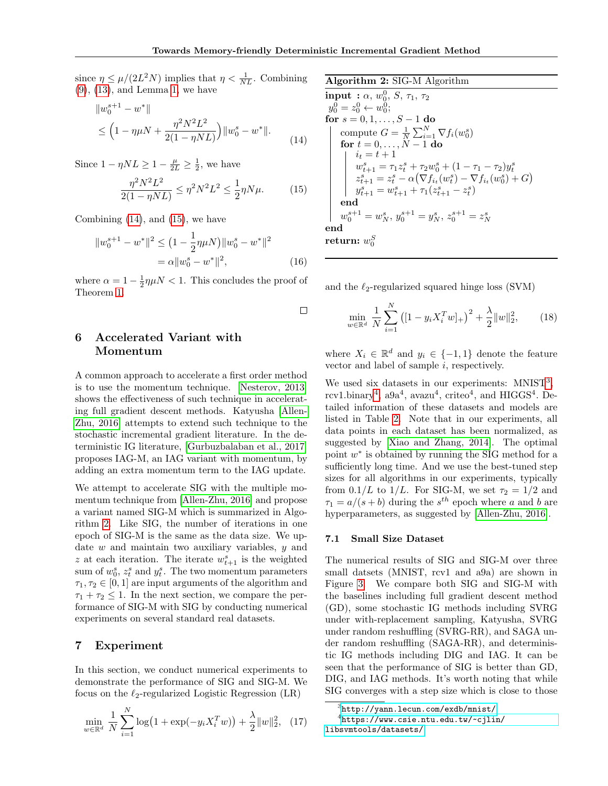<span id="page-5-0"></span>since  $\eta \le \mu/(2L^2N)$  implies that  $\eta < \frac{1}{NL}$ . Combining [\(9\)](#page-4-0), [\(13\)](#page-4-0), and Lemma [1,](#page-3-0) we have

$$
||w_0^{s+1} - w^*||
$$
  
\n
$$
\leq \left(1 - \eta \mu N + \frac{\eta^2 N^2 L^2}{2(1 - \eta NL)}\right) ||w_0^s - w^*||.
$$
\n(14)

Since  $1 - \eta NL \geq 1 - \frac{\mu}{2L} \geq \frac{1}{2}$ , we have

$$
\frac{\eta^2 N^2 L^2}{2(1 - \eta NL)} \le \eta^2 N^2 L^2 \le \frac{1}{2} \eta N \mu.
$$
 (15)

Combining  $(14)$ , and  $(15)$ , we have

$$
||w_0^{s+1} - w^*||^2 \le (1 - \frac{1}{2}\eta\mu N) ||w_0^s - w^*||^2
$$
  
=  $\alpha ||w_0^s - w^*||^2$ , (16)

where  $\alpha = 1 - \frac{1}{2}\eta\mu N < 1$ . This concludes the proof of Theorem [1.](#page-4-0)

 $\Box$ 

# 6 Accelerated Variant with Momentum

A common approach to accelerate a first order method is to use the momentum technique. [\[Nesterov, 2013\]](#page-8-0) shows the effectiveness of such technique in accelerating full gradient descent methods. Katyusha [\[Allen-](#page-8-0)[Zhu, 2016\]](#page-8-0) attempts to extend such technique to the stochastic incremental gradient literature. In the deterministic IG literature, [\[Gurbuzbalaban et al., 2017\]](#page-8-0) proposes IAG-M, an IAG variant with momentum, by adding an extra momentum term to the IAG update.

We attempt to accelerate SIG with the multiple momentum technique from [\[Allen-Zhu, 2016\]](#page-8-0) and propose a variant named SIG-M which is summarized in Algorithm 2. Like SIG, the number of iterations in one epoch of SIG-M is the same as the data size. We update  $w$  and maintain two auxiliary variables,  $y$  and z at each iteration. The iterate  $w_{t+1}^s$  is the weighted sum of  $w_0^s$ ,  $z_t^s$  and  $y_t^s$ . The two momentum parameters  $\tau_1, \tau_2 \in [0, 1]$  are input arguments of the algorithm and  $\tau_1 + \tau_2 \leq 1$ . In the next section, we compare the performance of SIG-M with SIG by conducting numerical experiments on several standard real datasets.

### 7 Experiment

In this section, we conduct numerical experiments to demonstrate the performance of SIG and SIG-M. We focus on the  $\ell_2$ -regularized Logistic Regression (LR)

$$
\min_{w \in \mathbb{R}^d} \frac{1}{N} \sum_{i=1}^N \log \left( 1 + \exp(-y_i X_i^T w) \right) + \frac{\lambda}{2} ||w||_2^2, \quad (17)
$$

### Algorithm 2: SIG-M Algorithm

```
\ninput : 
$$
\alpha, w_0^0, S, \tau_1, \tau_2
$$
\n $y_0^0 = z_0^0 \leftarrow w_0^0;$ \nfor  $s = 0, 1, \ldots, S - 1$  do\n\ncompute  $G = \frac{1}{N} \sum_{i=1}^N \nabla f_i(w_0^s)$ \n\nfor  $t = 0, \ldots, N - 1$  do\n\n $\begin{aligned}\n i_t &= t + 1 \\
w_{t+1}^s &= \tau_1 z_t^s + \tau_2 w_0^s + (1 - \tau_1 - \tau_2) y_t^s \\
z_{t+1}^s &= z_t^s - \alpha (\nabla f_{i_t}(w_t^s) - \nabla f_{i_t}(w_0^s) + G) \\
y_{t+1}^s &= w_{t+1}^s + \tau_1(z_{t+1}^s - z_t^s)\n\end{aligned}$ \nend\nneturn:  $w_0^S$ 
```

and the  $\ell_2$ -regularized squared hinge loss (SVM)

$$
\min_{w \in \mathbb{R}^d} \frac{1}{N} \sum_{i=1}^N \left( [1 - y_i X_i^T w]_+ \right)^2 + \frac{\lambda}{2} ||w||_2^2, \qquad (18)
$$

where  $X_i \in \mathbb{R}^d$  and  $y_i \in \{-1,1\}$  denote the feature vector and label of sample  $i$ , respectively.

We used six datasets in our experiments:  $MNIST<sup>3</sup>$ , rcv1.binary<sup>4</sup>, a $9a^4$ , avazu<sup>4</sup>, criteo<sup>4</sup>, and HIGGS<sup>4</sup>. Detailed information of these datasets and models are listed in Table [2.](#page-7-0) Note that in our experiments, all data points in each dataset has been normalized, as suggested by [\[Xiao and Zhang, 2014\]](#page-8-0). The optimal point  $w^*$  is obtained by running the SIG method for a sufficiently long time. And we use the best-tuned step sizes for all algorithms in our experiments, typically from  $0.1/L$  to  $1/L$ . For SIG-M, we set  $\tau_2 = 1/2$  and  $\tau_1 = a/(s+b)$  during the  $s^{th}$  epoch where a and b are hyperparameters, as suggested by [\[Allen-Zhu, 2016\]](#page-8-0).

#### 7.1 Small Size Dataset

The numerical results of SIG and SIG-M over three small datsets (MNIST, rcv1 and a9a) are shown in Figure [3.](#page-6-0) We compare both SIG and SIG-M with the baselines including full gradient descent method (GD), some stochastic IG methods including SVRG under with-replacement sampling, Katyusha, SVRG under random reshuffling (SVRG-RR), and SAGA under random reshuffling (SAGA-RR), and deterministic IG methods including DIG and IAG. It can be seen that the performance of SIG is better than GD, DIG, and IAG methods. It's worth noting that while SIG converges with a step size which is close to those

<sup>3</sup> <http://yann.lecun.com/exdb/mnist/> 4 [https://www.csie.ntu.edu.tw/~cjlin/](https://www.csie.ntu.edu.tw/~cjlin/libsvmtools/datasets/) [libsvmtools/datasets/](https://www.csie.ntu.edu.tw/~cjlin/libsvmtools/datasets/)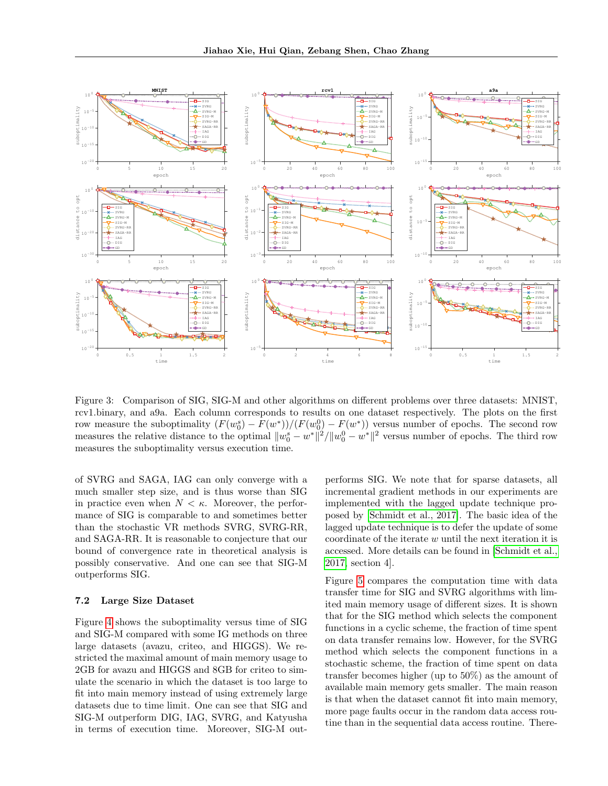<span id="page-6-0"></span>

Figure 3: Comparison of SIG, SIG-M and other algorithms on different problems over three datasets: MNIST, rcv1.binary, and a9a. Each column corresponds to results on one dataset respectively. The plots on the first row measure the suboptimality  $(F(w_0^s) - F(w^*))/F(w_0^0) - F(w^*))$  versus number of epochs. The second row measures the relative distance to the optimal  $||w_0^s - w^*||^2 / ||w_0^0 - w^*||^2$  versus number of epochs. The third row measures the suboptimality versus execution time.

of SVRG and SAGA, IAG can only converge with a much smaller step size, and is thus worse than SIG in practice even when  $N < \kappa$ . Moreover, the performance of SIG is comparable to and sometimes better than the stochastic VR methods SVRG, SVRG-RR, and SAGA-RR. It is reasonable to conjecture that our bound of convergence rate in theoretical analysis is possibly conservative. And one can see that SIG-M outperforms SIG.

#### 7.2 Large Size Dataset

Figure [4](#page-7-0) shows the suboptimality versus time of SIG and SIG-M compared with some IG methods on three large datasets (avazu, criteo, and HIGGS). We restricted the maximal amount of main memory usage to 2GB for avazu and HIGGS and 8GB for criteo to simulate the scenario in which the dataset is too large to fit into main memory instead of using extremely large datasets due to time limit. One can see that SIG and SIG-M outperform DIG, IAG, SVRG, and Katyusha in terms of execution time. Moreover, SIG-M outperforms SIG. We note that for sparse datasets, all incremental gradient methods in our experiments are implemented with the lagged update technique proposed by [\[Schmidt et al., 2017\]](#page-8-0). The basic idea of the lagged update technique is to defer the update of some coordinate of the iterate w until the next iteration it is accessed. More details can be found in [\[Schmidt et al.,](#page-8-0) [2017,](#page-8-0) section 4].

Figure [5](#page-7-0) compares the computation time with data transfer time for SIG and SVRG algorithms with limited main memory usage of different sizes. It is shown that for the SIG method which selects the component functions in a cyclic scheme, the fraction of time spent on data transfer remains low. However, for the SVRG method which selects the component functions in a stochastic scheme, the fraction of time spent on data transfer becomes higher (up to 50%) as the amount of available main memory gets smaller. The main reason is that when the dataset cannot fit into main memory, more page faults occur in the random data access routine than in the sequential data access routine. There-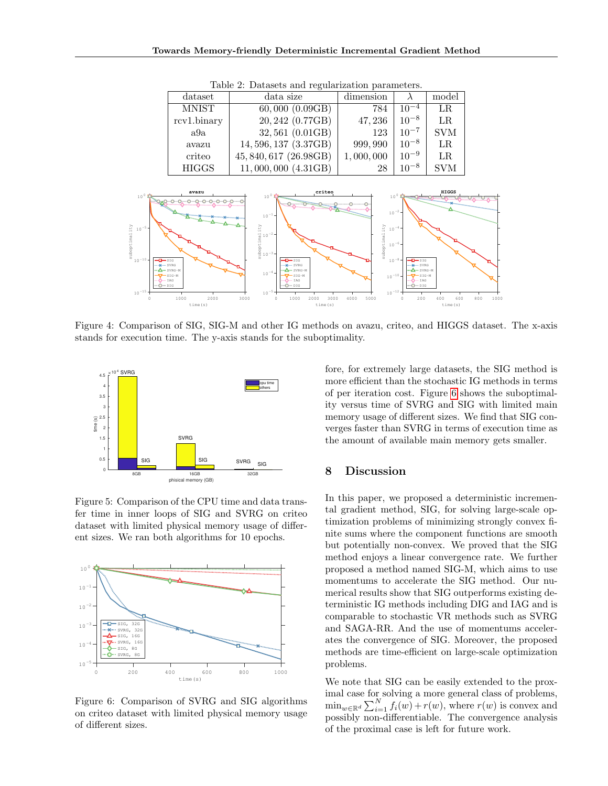<span id="page-7-0"></span>

| dataset      | data size               | dimension |           | model      |
|--------------|-------------------------|-----------|-----------|------------|
| <b>MNIST</b> | $60,000 \; (0.09GB)$    | 784       | $10^{-4}$ | LR.        |
| rcv1.binary  | 20, 242 (0.77GB)        | 47,236    | $10^{-8}$ | $_{LR}$    |
| a9a          | 32,561 (0.01GB)         | 123       | $10^{-7}$ | <b>SVM</b> |
| avazu        | 14,596,137 (3.37GB)     | 999, 990  | $10^{-8}$ | $_{LR}$    |
| criteo       | 45, 840, 617 (26.98GB)  | 1,000,000 | $10^{-9}$ | LR.        |
| <b>HIGGS</b> | $11,000,000$ $(4.31GB)$ | 28        | $10^{-8}$ | <b>SVM</b> |

Table 2: Datasets and regularization parameters.



Figure 4: Comparison of SIG, SIG-M and other IG methods on avazu, criteo, and HIGGS dataset. The x-axis stands for execution time. The y-axis stands for the suboptimality.



Figure 5: Comparison of the CPU time and data transfer time in inner loops of SIG and SVRG on criteo dataset with limited physical memory usage of different sizes. We ran both algorithms for 10 epochs.



Figure 6: Comparison of SVRG and SIG algorithms on criteo dataset with limited physical memory usage of different sizes.

fore, for extremely large datasets, the SIG method is more efficient than the stochastic IG methods in terms of per iteration cost. Figure 6 shows the suboptimality versus time of SVRG and SIG with limited main memory usage of different sizes. We find that SIG converges faster than SVRG in terms of execution time as the amount of available main memory gets smaller.

### 8 Discussion

In this paper, we proposed a deterministic incremental gradient method, SIG, for solving large-scale optimization problems of minimizing strongly convex finite sums where the component functions are smooth but potentially non-convex. We proved that the SIG method enjoys a linear convergence rate. We further proposed a method named SIG-M, which aims to use momentums to accelerate the SIG method. Our numerical results show that SIG outperforms existing deterministic IG methods including DIG and IAG and is comparable to stochastic VR methods such as SVRG and SAGA-RR. And the use of momentums accelerates the convergence of SIG. Moreover, the proposed methods are time-efficient on large-scale optimization problems.

We note that SIG can be easily extended to the proximal case for solving a more general class of problems,  $\min_{w \in \mathbb{R}^d} \sum_{i=1}^N f_i(w) + r(w)$ , where  $r(w)$  is convex and possibly non-differentiable. The convergence analysis of the proximal case is left for future work.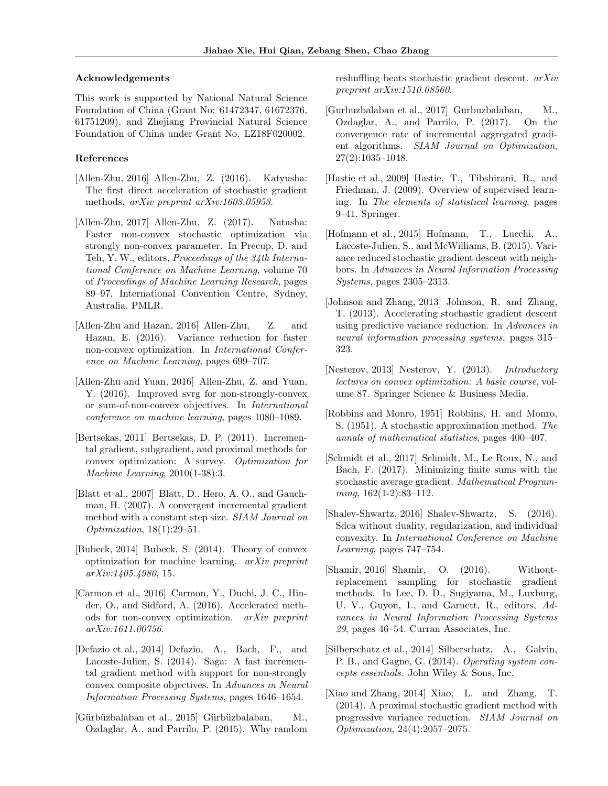#### <span id="page-8-0"></span>Acknowledgements

This work is supported by National Natural Science Foundation of China (Grant No: 61472347, 61672376, 61751209), and Zhejiang Provincial Natural Science Foundation of China under Grant No. LZ18F020002.

#### References

- [Allen-Zhu, 2016] Allen-Zhu, Z. (2016). Katyusha: The first direct acceleration of stochastic gradient methods. arXiv preprint arXiv:1603.05953.
- [Allen-Zhu, 2017] Allen-Zhu, Z. (2017). Natasha: Faster non-convex stochastic optimization via strongly non-convex parameter. In Precup, D. and Teh, Y. W., editors, Proceedings of the 34th International Conference on Machine Learning, volume 70 of Proceedings of Machine Learning Research, pages 89–97, International Convention Centre, Sydney, Australia. PMLR.
- [Allen-Zhu and Hazan, 2016] Allen-Zhu, Z. and Hazan, E. (2016). Variance reduction for faster non-convex optimization. In International Conference on Machine Learning, pages 699–707.
- [Allen-Zhu and Yuan, 2016] Allen-Zhu, Z. and Yuan, Y. (2016). Improved svrg for non-strongly-convex or sum-of-non-convex objectives. In International conference on machine learning, pages 1080–1089.
- [Bertsekas, 2011] Bertsekas, D. P. (2011). Incremental gradient, subgradient, and proximal methods for convex optimization: A survey. Optimization for Machine Learning, 2010(1-38):3.
- [Blatt et al., 2007] Blatt, D., Hero, A. O., and Gauchman, H. (2007). A convergent incremental gradient method with a constant step size. SIAM Journal on Optimization, 18(1):29–51.
- [Bubeck, 2014] Bubeck, S. (2014). Theory of convex optimization for machine learning. arXiv preprint arXiv:1405.4980, 15.
- [Carmon et al., 2016] Carmon, Y., Duchi, J. C., Hinder, O., and Sidford, A. (2016). Accelerated methods for non-convex optimization. arXiv preprint arXiv:1611.00756.
- [Defazio et al., 2014] Defazio, A., Bach, F., and Lacoste-Julien, S. (2014). Saga: A fast incremental gradient method with support for non-strongly convex composite objectives. In Advances in Neural Information Processing Systems, pages 1646–1654.
- [Gürbüzbalaban et al., 2015] Gürbüzbalaban, M., Ozdaglar, A., and Parrilo, P. (2015). Why random

reshuffling beats stochastic gradient descent. arXiv preprint arXiv:1510.08560.

- [Gurbuzbalaban et al., 2017] Gurbuzbalaban, M., Ozdaglar, A., and Parrilo, P. (2017). On the convergence rate of incremental aggregated gradient algorithms. SIAM Journal on Optimization, 27(2):1035–1048.
- [Hastie et al., 2009] Hastie, T., Tibshirani, R., and Friedman, J. (2009). Overview of supervised learning. In The elements of statistical learning, pages 9–41. Springer.
- [Hofmann et al., 2015] Hofmann, T., Lucchi, A., Lacoste-Julien, S., and McWilliams, B. (2015). Variance reduced stochastic gradient descent with neighbors. In Advances in Neural Information Processing Systems, pages 2305–2313.
- [Johnson and Zhang, 2013] Johnson, R. and Zhang, T. (2013). Accelerating stochastic gradient descent using predictive variance reduction. In Advances in neural information processing systems, pages 315– 323.
- [Nesterov, 2013] Nesterov, Y. (2013). Introductory lectures on convex optimization: A basic course, volume 87. Springer Science & Business Media.
- [Robbins and Monro, 1951] Robbins, H. and Monro, S. (1951). A stochastic approximation method. The annals of mathematical statistics, pages 400–407.
- [Schmidt et al., 2017] Schmidt, M., Le Roux, N., and Bach, F. (2017). Minimizing finite sums with the stochastic average gradient. Mathematical Program $ming, 162(1-2):83-112.$
- [Shalev-Shwartz, 2016] Shalev-Shwartz, S. (2016). Sdca without duality, regularization, and individual convexity. In International Conference on Machine Learning, pages 747–754.
- [Shamir, 2016] Shamir, O. (2016). Withoutreplacement sampling for stochastic gradient methods. In Lee, D. D., Sugiyama, M., Luxburg, U. V., Guyon, I., and Garnett, R., editors, Advances in Neural Information Processing Systems 29, pages 46–54. Curran Associates, Inc.
- [Silberschatz et al., 2014] Silberschatz, A., Galvin, P. B., and Gagne, G. (2014). Operating system concepts essentials. John Wiley & Sons, Inc.
- [Xiao and Zhang, 2014] Xiao, L. and Zhang, T. (2014). A proximal stochastic gradient method with progressive variance reduction. SIAM Journal on Optimization, 24(4):2057–2075.